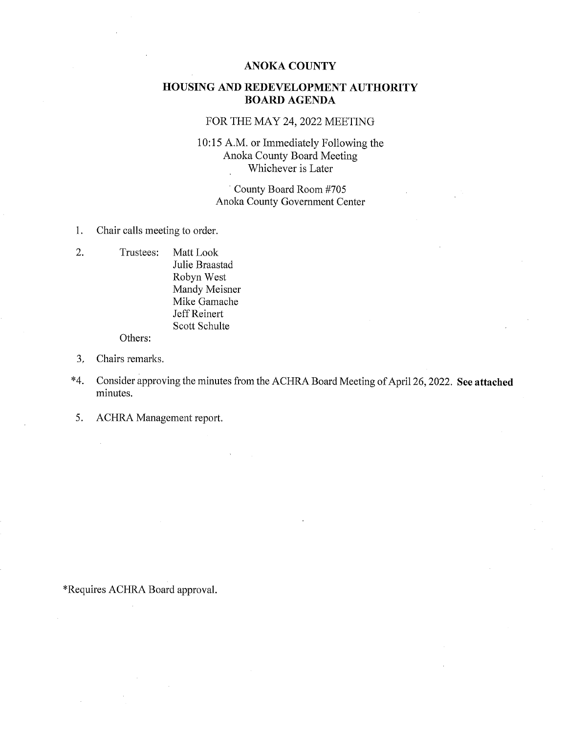#### ANOKA COUNTY

## HOUSING AND REDEVELOPMENT AUTHORITY BOARD AGENDA

## FOR THE MAY 24, 2022 MEETING

#### 10:15 A.M. or Immediately Following the Anoka County Board Meeting Whichever is Later

County Board Room #705 Anoka County Government Center

- 1. Chair calls meeting to order.
- 2. Trustees: Matt LOOk Julie Braastad Robyn West Mandy Meisner Mike Gamache Jeff Reinert Scott Schulte Others:

- 3. Chairs remarks.
- \*4. Consider approving the minutes from the ACHRA Board Meeting of April 26, 2022. See attached minutes.
- 5. ACHRA Management report.

\*Requires ACHRA Board approval.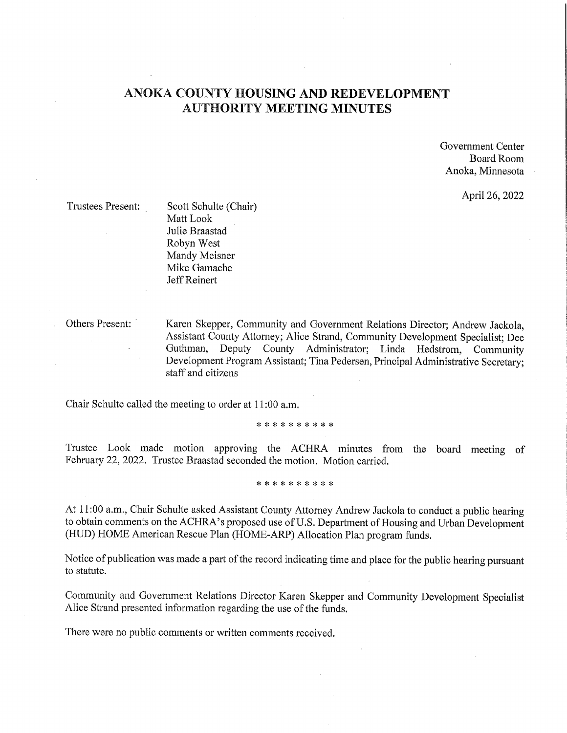## ANOKA COUNTY HOUSING AND REDEVELOPMENT AUTHORITY MEETING MINUTES

Government Center Board Room Anoka, Minnesota

April 26, 2022

Trustees Present: Scott Schulte (Chair) Matt LOOk Julie Braastad Robyn West Mandy Meisner Mike Gamache Jeff Reinert

Others Present: Karen Skepper, Community and Government Relations Director; Andrew Jackola, Assistant County Attorney; Alice Strand, Community Development Specialist; Dee Guthman, Deputy County Administrator; Linda Hedstrom, Community Development Program Assistant; Tina Pedersen, Principal Administrative Secretary; staff and citizens

Chair Schulte called the meeting to order at 11:00 a.m.

\* \* \* \* \* \* \* \* \* \*

Trustee LOOk made motion approving the ACHRA minutes from the board meeting of February 22, 2022. Trustee Braastad seconded the motion. Motion carried.

\* \* \* \* \* \* \* \* \* \*

At 11:00 a.m., Chair Schulte asked Assistant County Attorney Andrew Jackola to conduct a public hearing to obtain comments on the ACHRA's proposed use of U.S. Department of Housing and Urban Development (HUD) HOME American Rescue Plan (HOME-ARP) Allocation Plan program funds.

Notice of publication was made a part of the record indicating time and place for the public hearing pursuant to statute.

Community and Government Relations Director Karen Skepper and Community Development Specialist Alice Strand presented information regarding the use of the funds.

There were no public comments or written comments received.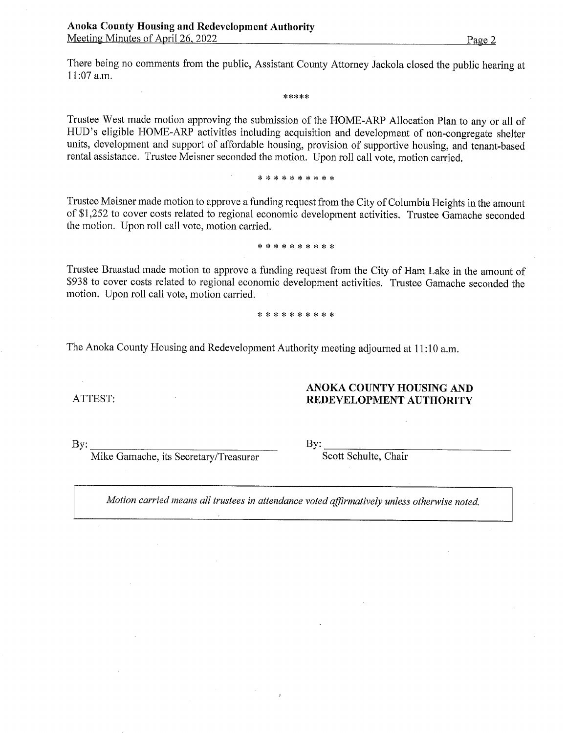There being no comments from the public, Assistant County Attorney Jackola closed the public hearing at 11:07 a.m.

\*\*\*\*\*

Trustee West made motion approving the submission of the HOME-ARP Allocation Plan to any or all of HUD's eligible HOME-ARP activities including acquisition and development of non-congregate shelter units, development and support of affordable housing, provision of supportive housing, and tenant-based rental assistance. Trustee Meisner seconded the motion. Upon roll call vote, motion carried.

#### \* \* \* \* \* \* \* \* \* \*

Trustee Meisner made motion to approve a funding request from the City of Columbia Heights in the amount of \$1,252 to cover costs related to regional economic development activities. Trustee Gamache seconded the motion. Upon roll call vote, motion carried.

#### \* \* \* \* \* \* \* \* \* \*

Trustee Braastad made motion to approve a funding request from the City of Ham Lake in the amount of \$938 to cover costs related to regional economic development activities. Trustee Gamache seconded the motion. Upon roll call vote, motion carried.

#### \* \* \* \* \* \* \* \* \* \*

The Anoka County Housing and Redevelopment Authority meeting adjourned at 11:10 a.m.

ATTEST:

## ANOKA COUNTY HOUSING AND REDEVELOPMENT AUTHORITY

 $By:$ 

Mike Gamache, its Secretary/Treasurer

 $By:$ 

Scott Schulte, Chair

Motion carried means all trustees in attendance voted affirmatively unless otherwise noted.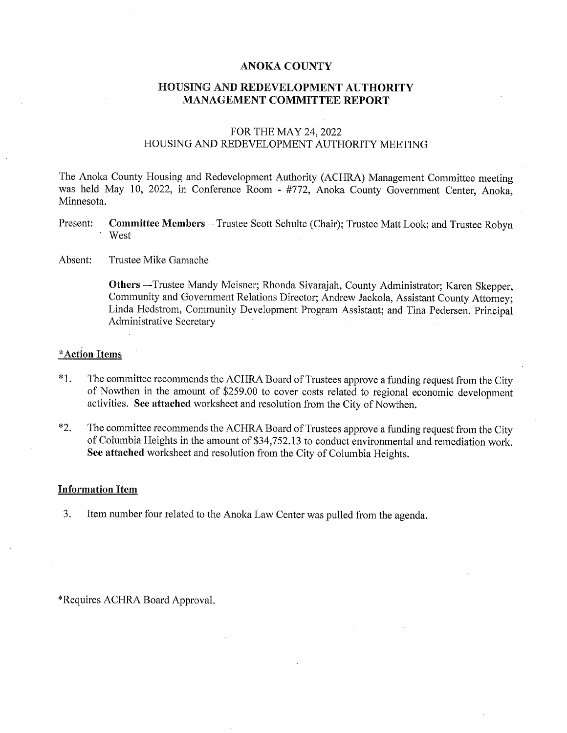#### ANOKA COUNTY

#### HOUSING AND REDEVELOPMENT AUTHORITY MANAGEMENT COMMITTEE REPORT

#### FOR THE MAY 24, 2022 HOUSING AND REDEVELOPMENT AUTHORITY MEETING

The Anoka County Housing and Redevelopment Authority (ACHRA) Management Committee meeting was held May 10, 2022, in Conference Room - #772, Anoka County Government Center, Anoka, Minnesota.

- Present: Committee Members Trustee Scott Schulte (Chair); Trustee Matt Look; and Trustee Robyn West
- Absent: Trustee Mike Gamache

Others --Trustee Mandy Meisner; Rhonda Sivarajah, County Administrator; Karen Skepper, Community and Government Relations Director; Andrew Jackola, Assistant County Attorney: Linda Hedstrom, Community Development Program Assistant; and Tina Pedersen, Principal Administrative Secretary

#### \*Action Items

- \* 1. The committee recommends the ACHRA Board of Trustees approve a funding request from the City of Nowthen in the amount of \$259.00 to cover costs related to regional economic development activities. See attached worksheet and resolution from the City of Nowthen.
- \*2. The committee recommends the ACHRA Board of Trustees approve a funding request from the City of Columbia Heights in the amount of \$34,752.13 to conduct environmental and remediation work. See attached worksheet and resolution from the City of Columbia Heights.

#### Information Item

3. Item number four related to the Anoka Law Center was pulled from the agenda.

\*Requires ACHRA Board Approval.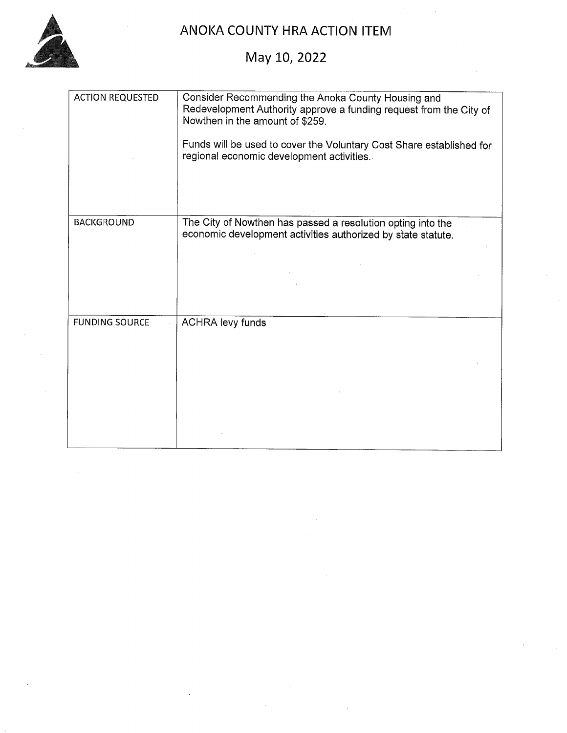

## ANOKA COUNTY HRA ACTION ITEM

# May 10, 2022

| <b>ACTION REQUESTED</b> | Consider Recommending the Anoka County Housing and<br>Redevelopment Authority approve a funding request from the City of<br>Nowthen in the amount of \$259. |
|-------------------------|-------------------------------------------------------------------------------------------------------------------------------------------------------------|
|                         | Funds will be used to cover the Voluntary Cost Share established for<br>regional economic development activities.                                           |
|                         |                                                                                                                                                             |
| <b>BACKGROUND</b>       | The City of Nowthen has passed a resolution opting into the<br>economic development activities authorized by state statute.                                 |
|                         |                                                                                                                                                             |
|                         |                                                                                                                                                             |
| <b>FUNDING SOURCE</b>   | <b>ACHRA levy funds</b>                                                                                                                                     |
|                         |                                                                                                                                                             |
|                         |                                                                                                                                                             |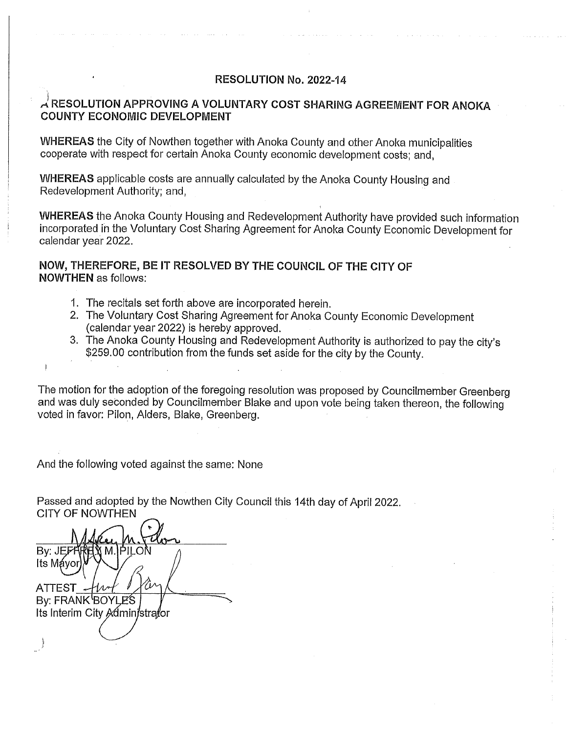#### RESOLUTION No. 2022-14

## $\lambda$  RESOLUTION APPROVING A VOLUNTARY COST SHARING AGREEMENT FOR ANOKA COUNTY ECONOMIC DEVELOPMENT

WHEREAS the City of Nowthen together with Anoka County and other Anoka municipalities cooperate with respect for certain Anoka County economic development costs; and,

WHEREAS applicable costs are annually calculated by the Anoka County Housing and Redevelopment Authority; and,

WHEREAS the Anoka County Housing and Redevelopment Authority have provided such information incorporated in the Voluntary Cost Sharing Agreement for Anoka County Economic Development for calendar year 2022.

## NOW, THEREFORE, BE IT RESOLVED BY THE COUNCIL OF THE CITY OF NOWTHEN as follows:

- 1. The recitals set forth above are incorporated herein.
- 2. The Voluntary Cost Sharing Agreement for Anoka County Economic Development (calendar year 2022) is hereby approved.
- 3. The Anoka County Housing and Redevelopment Authority is authorized to pay the city's \$259.00 contribution from the funds set aside for the city by the County.

The motion for the adoption of the foregoing resolution was proposed by Councilmember Greenberg and was duly seconded by Councilmember Blake and upon vote being taken thereon, the following voted in favor: Pilon, Adders, Blake, Greenberg.

And the following voted against the same: None

Passed and adopted by the Nowthen City Council this 14th day of April 2022. **CITY OF NOWTHEN** 

By: JEFFF RELY M.IPILO. Its Mayor ATTEST By: FRANK<sup>I</sup>BOYLES Its Interim City Administrator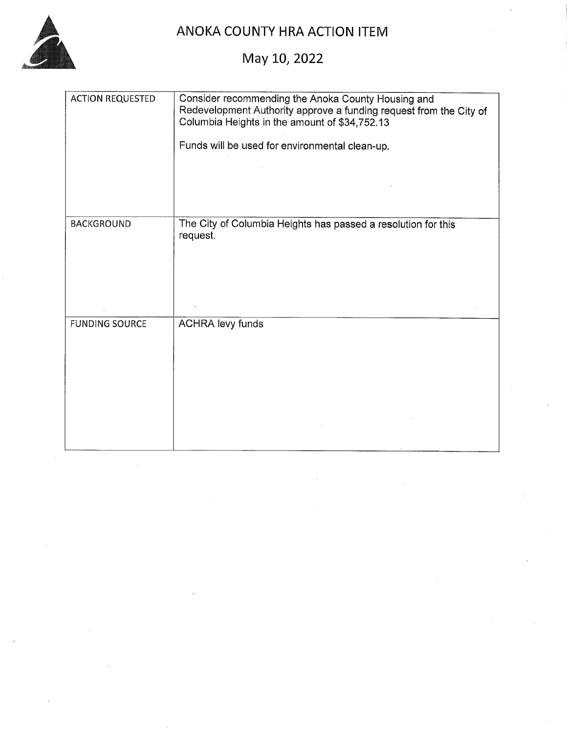

# ANOKA COUNTY HRA ACTION ITEM

May 10, 2022

| <b>ACTION REQUESTED</b> | Consider recommending the Anoka County Housing and<br>Redevelopment Authority approve a funding request from the City of<br>Columbia Heights in the amount of \$34,752.13<br>Funds will be used for environmental clean-up. |
|-------------------------|-----------------------------------------------------------------------------------------------------------------------------------------------------------------------------------------------------------------------------|
| <b>BACKGROUND</b>       | The City of Columbia Heights has passed a resolution for this<br>request.                                                                                                                                                   |
| <b>FUNDING SOURCE</b>   | <b>ACHRA levy funds</b>                                                                                                                                                                                                     |